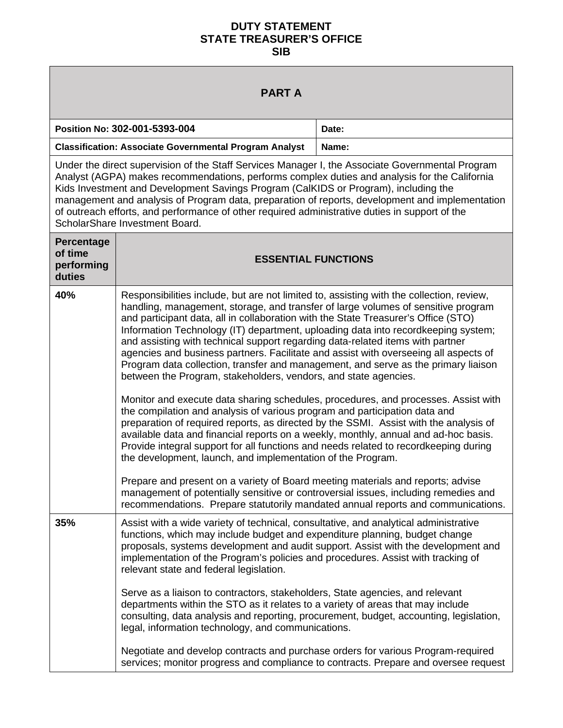## **DUTY STATEMENT STATE TREASURER'S OFFICE SIB**

| <b>PARTA</b>                                                                                                                                                                                                                                                                                                                                                                                                                                                                                                                    |                                                                                                                                                                                                                                                                                                                                                                                                                                                                                                                                                                                                                                                                                                                                                                                                                                                                                                                                                                                                                                                                                                                                                                                                                                                                                                                                                                                                                                                                      |       |  |  |  |  |  |
|---------------------------------------------------------------------------------------------------------------------------------------------------------------------------------------------------------------------------------------------------------------------------------------------------------------------------------------------------------------------------------------------------------------------------------------------------------------------------------------------------------------------------------|----------------------------------------------------------------------------------------------------------------------------------------------------------------------------------------------------------------------------------------------------------------------------------------------------------------------------------------------------------------------------------------------------------------------------------------------------------------------------------------------------------------------------------------------------------------------------------------------------------------------------------------------------------------------------------------------------------------------------------------------------------------------------------------------------------------------------------------------------------------------------------------------------------------------------------------------------------------------------------------------------------------------------------------------------------------------------------------------------------------------------------------------------------------------------------------------------------------------------------------------------------------------------------------------------------------------------------------------------------------------------------------------------------------------------------------------------------------------|-------|--|--|--|--|--|
| Position No: 302-001-5393-004                                                                                                                                                                                                                                                                                                                                                                                                                                                                                                   |                                                                                                                                                                                                                                                                                                                                                                                                                                                                                                                                                                                                                                                                                                                                                                                                                                                                                                                                                                                                                                                                                                                                                                                                                                                                                                                                                                                                                                                                      | Date: |  |  |  |  |  |
| <b>Classification: Associate Governmental Program Analyst</b>                                                                                                                                                                                                                                                                                                                                                                                                                                                                   |                                                                                                                                                                                                                                                                                                                                                                                                                                                                                                                                                                                                                                                                                                                                                                                                                                                                                                                                                                                                                                                                                                                                                                                                                                                                                                                                                                                                                                                                      | Name: |  |  |  |  |  |
| Under the direct supervision of the Staff Services Manager I, the Associate Governmental Program<br>Analyst (AGPA) makes recommendations, performs complex duties and analysis for the California<br>Kids Investment and Development Savings Program (CalKIDS or Program), including the<br>management and analysis of Program data, preparation of reports, development and implementation<br>of outreach efforts, and performance of other required administrative duties in support of the<br>ScholarShare Investment Board. |                                                                                                                                                                                                                                                                                                                                                                                                                                                                                                                                                                                                                                                                                                                                                                                                                                                                                                                                                                                                                                                                                                                                                                                                                                                                                                                                                                                                                                                                      |       |  |  |  |  |  |
| Percentage<br>of time<br>performing<br>duties                                                                                                                                                                                                                                                                                                                                                                                                                                                                                   | <b>ESSENTIAL FUNCTIONS</b>                                                                                                                                                                                                                                                                                                                                                                                                                                                                                                                                                                                                                                                                                                                                                                                                                                                                                                                                                                                                                                                                                                                                                                                                                                                                                                                                                                                                                                           |       |  |  |  |  |  |
| 40%                                                                                                                                                                                                                                                                                                                                                                                                                                                                                                                             | Responsibilities include, but are not limited to, assisting with the collection, review,<br>handling, management, storage, and transfer of large volumes of sensitive program<br>and participant data, all in collaboration with the State Treasurer's Office (STO)<br>Information Technology (IT) department, uploading data into recordkeeping system;<br>and assisting with technical support regarding data-related items with partner<br>agencies and business partners. Facilitate and assist with overseeing all aspects of<br>Program data collection, transfer and management, and serve as the primary liaison<br>between the Program, stakeholders, vendors, and state agencies.<br>Monitor and execute data sharing schedules, procedures, and processes. Assist with<br>the compilation and analysis of various program and participation data and<br>preparation of required reports, as directed by the SSMI. Assist with the analysis of<br>available data and financial reports on a weekly, monthly, annual and ad-hoc basis.<br>Provide integral support for all functions and needs related to recordkeeping during<br>the development, launch, and implementation of the Program.<br>Prepare and present on a variety of Board meeting materials and reports; advise<br>management of potentially sensitive or controversial issues, including remedies and<br>recommendations. Prepare statutorily mandated annual reports and communications. |       |  |  |  |  |  |
| 35%                                                                                                                                                                                                                                                                                                                                                                                                                                                                                                                             | Assist with a wide variety of technical, consultative, and analytical administrative<br>functions, which may include budget and expenditure planning, budget change<br>proposals, systems development and audit support. Assist with the development and<br>implementation of the Program's policies and procedures. Assist with tracking of<br>relevant state and federal legislation.<br>Serve as a liaison to contractors, stakeholders, State agencies, and relevant<br>departments within the STO as it relates to a variety of areas that may include<br>consulting, data analysis and reporting, procurement, budget, accounting, legislation,<br>legal, information technology, and communications.<br>Negotiate and develop contracts and purchase orders for various Program-required<br>services; monitor progress and compliance to contracts. Prepare and oversee request                                                                                                                                                                                                                                                                                                                                                                                                                                                                                                                                                                               |       |  |  |  |  |  |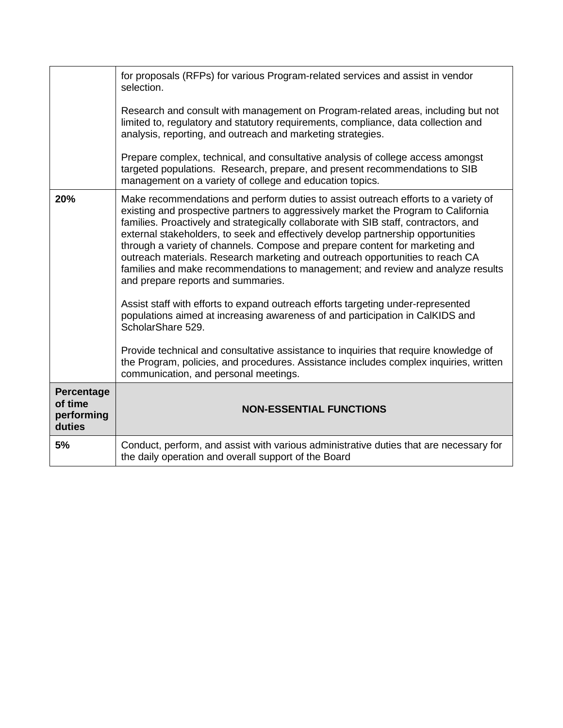|                                               | for proposals (RFPs) for various Program-related services and assist in vendor<br>selection.<br>Research and consult with management on Program-related areas, including but not<br>limited to, regulatory and statutory requirements, compliance, data collection and<br>analysis, reporting, and outreach and marketing strategies.<br>Prepare complex, technical, and consultative analysis of college access amongst<br>targeted populations. Research, prepare, and present recommendations to SIB<br>management on a variety of college and education topics.                                                                                                                                                                                                                                                                                                                                                                                                                                                                                                |
|-----------------------------------------------|--------------------------------------------------------------------------------------------------------------------------------------------------------------------------------------------------------------------------------------------------------------------------------------------------------------------------------------------------------------------------------------------------------------------------------------------------------------------------------------------------------------------------------------------------------------------------------------------------------------------------------------------------------------------------------------------------------------------------------------------------------------------------------------------------------------------------------------------------------------------------------------------------------------------------------------------------------------------------------------------------------------------------------------------------------------------|
| 20%                                           | Make recommendations and perform duties to assist outreach efforts to a variety of<br>existing and prospective partners to aggressively market the Program to California<br>families. Proactively and strategically collaborate with SIB staff, contractors, and<br>external stakeholders, to seek and effectively develop partnership opportunities<br>through a variety of channels. Compose and prepare content for marketing and<br>outreach materials. Research marketing and outreach opportunities to reach CA<br>families and make recommendations to management; and review and analyze results<br>and prepare reports and summaries.<br>Assist staff with efforts to expand outreach efforts targeting under-represented<br>populations aimed at increasing awareness of and participation in CalKIDS and<br>ScholarShare 529.<br>Provide technical and consultative assistance to inquiries that require knowledge of<br>the Program, policies, and procedures. Assistance includes complex inquiries, written<br>communication, and personal meetings. |
| Percentage<br>of time<br>performing<br>duties | <b>NON-ESSENTIAL FUNCTIONS</b>                                                                                                                                                                                                                                                                                                                                                                                                                                                                                                                                                                                                                                                                                                                                                                                                                                                                                                                                                                                                                                     |
| 5%                                            | Conduct, perform, and assist with various administrative duties that are necessary for<br>the daily operation and overall support of the Board                                                                                                                                                                                                                                                                                                                                                                                                                                                                                                                                                                                                                                                                                                                                                                                                                                                                                                                     |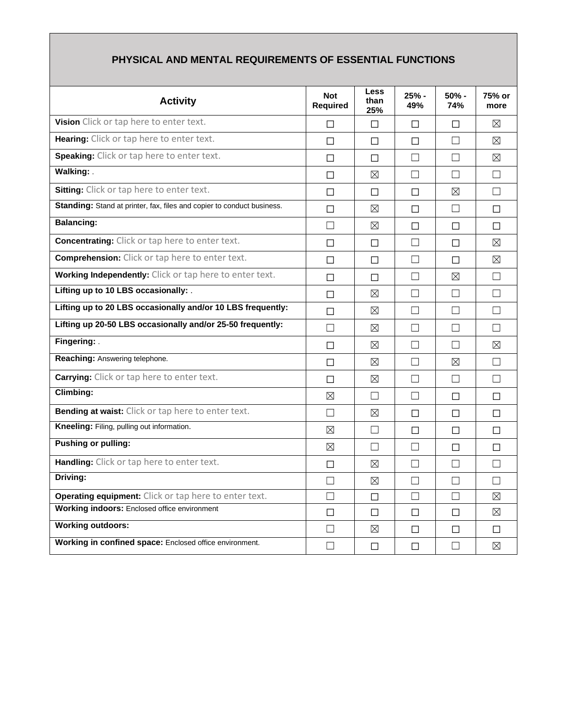| <b>Activity</b>                                                        | <b>Not</b><br><b>Required</b> | Less<br>than<br>25% | 25% -<br>49% | $50% -$<br><b>74%</b> | 75% or<br>more |
|------------------------------------------------------------------------|-------------------------------|---------------------|--------------|-----------------------|----------------|
| Vision Click or tap here to enter text.                                | П                             | П                   | П            | П                     | ⊠              |
| Hearing: Click or tap here to enter text.                              | П                             | П                   | □            | П                     | ⊠              |
| <b>Speaking:</b> Click or tap here to enter text.                      | П                             | П                   | П            | $\Box$                | ⊠              |
| Walking: .                                                             | П                             | ⊠                   | П            | $\Box$                | П              |
| Sitting: Click or tap here to enter text.                              | П                             | П                   | П            | ⊠                     | П              |
| Standing: Stand at printer, fax, files and copier to conduct business. | П                             | $\boxtimes$         | П            | $\Box$                | П              |
| <b>Balancing:</b>                                                      | П                             | ⊠                   | П            | П                     | П              |
| <b>Concentrating:</b> Click or tap here to enter text.                 | П                             | П                   | П            | П                     | X              |
| <b>Comprehension:</b> Click or tap here to enter text.                 | П                             | П                   | П            | П                     | ⊠              |
| Working Independently: Click or tap here to enter text.                | П                             | П                   | П            | ⊠                     | П              |
| Lifting up to 10 LBS occasionally: .                                   | П                             | ⊠                   | П            | $\Box$                | П              |
| Lifting up to 20 LBS occasionally and/or 10 LBS frequently:            | П                             | ⊠                   | П            | $\Box$                | П              |
| Lifting up 20-50 LBS occasionally and/or 25-50 frequently:             | П                             | ⊠                   | П            | $\Box$                | П              |
| Fingering: .                                                           | П                             | ⊠                   | П            | $\Box$                | ⊠              |
| Reaching: Answering telephone.                                         | П                             | ⊠                   | П            | ⊠                     | П              |
| <b>Carrying:</b> Click or tap here to enter text.                      | П                             | ⊠                   | П            | П                     | П              |
| Climbing:                                                              | ⊠                             | $\vert \ \ \vert$   | $\perp$      | П                     | П              |
| Bending at waist: Click or tap here to enter text.                     | $\Box$                        | ⊠                   | П            | $\Box$                | $\Box$         |
| Kneeling: Filing, pulling out information.                             | ⊠                             | $\vert \ \ \vert$   | П            | П                     | П              |
| <b>Pushing or pulling:</b>                                             | ⊠                             | П                   | П            | П                     | П              |
| Handling: Click or tap here to enter text.                             | П                             | ⊠                   | П            | П                     | П              |
| Driving:                                                               | П                             | ⊠                   | П            | П                     | П              |
| Operating equipment: Click or tap here to enter text.                  | П                             | $\Box$              | П            | П                     | ⊠              |
| <b>Working indoors:</b> Enclosed office environment                    | П                             | П                   | П            | П                     | $\boxtimes$    |
| <b>Working outdoors:</b>                                               | П                             | $\boxtimes$         | П            | П                     | П              |
| Working in confined space: Enclosed office environment.                | П                             | П                   | П            | П                     | ⊠              |